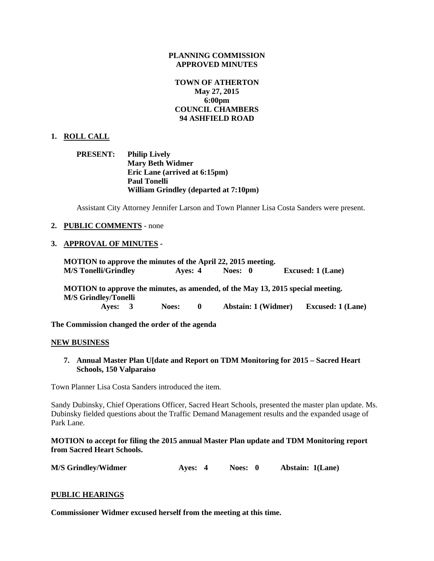### **PLANNING COMMISSION APPROVED MINUTES**

# **TOWN OF ATHERTON May 27, 2015 6:00pm COUNCIL CHAMBERS 94 ASHFIELD ROAD**

# **1. ROLL CALL**

| <b>PRESENT:</b> | <b>Philip Lively</b>                  |
|-----------------|---------------------------------------|
|                 | <b>Mary Beth Widmer</b>               |
|                 | Eric Lane (arrived at 6:15pm)         |
|                 | <b>Paul Tonelli</b>                   |
|                 | William Grindley (departed at 7:10pm) |

Assistant City Attorney Jennifer Larson and Town Planner Lisa Costa Sanders were present.

#### **2. PUBLIC COMMENTS** - none

#### **3. APPROVAL OF MINUTES -**

**MOTION to approve the minutes of the April 22, 2015 meeting. M/S Tonelli/Grindley Ayes: 4 Noes: 0 Excused: 1 (Lane)**

**MOTION to approve the minutes, as amended, of the May 13, 2015 special meeting. M/S Grindley/Tonelli**

 **Ayes: 3 Noes: 0 Abstain: 1 (Widmer) Excused: 1 (Lane)**

**The Commission changed the order of the agenda**

#### **NEW BUSINESS**

### **7. Annual Master Plan U[date and Report on TDM Monitoring for 2015 – Sacred Heart Schools, 150 Valparaiso**

Town Planner Lisa Costa Sanders introduced the item.

Sandy Dubinsky, Chief Operations Officer, Sacred Heart Schools, presented the master plan update. Ms. Dubinsky fielded questions about the Traffic Demand Management results and the expanded usage of Park Lane.

**MOTION to accept for filing the 2015 annual Master Plan update and TDM Monitoring report from Sacred Heart Schools.**

| <b>M/S Grindley/Widmer</b> | Aves: 4 | Noes: 0 | Abstain: 1(Lane) |
|----------------------------|---------|---------|------------------|
|----------------------------|---------|---------|------------------|

#### **PUBLIC HEARINGS**

**Commissioner Widmer excused herself from the meeting at this time.**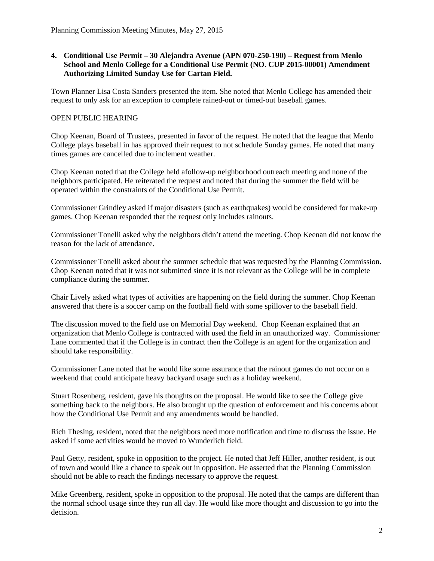# **4. Conditional Use Permit – 30 Alejandra Avenue (APN 070-250-190) – Request from Menlo School and Menlo College for a Conditional Use Permit (NO. CUP 2015-00001) Amendment Authorizing Limited Sunday Use for Cartan Field.**

Town Planner Lisa Costa Sanders presented the item. She noted that Menlo College has amended their request to only ask for an exception to complete rained-out or timed-out baseball games.

# OPEN PUBLIC HEARING

Chop Keenan, Board of Trustees, presented in favor of the request. He noted that the league that Menlo College plays baseball in has approved their request to not schedule Sunday games. He noted that many times games are cancelled due to inclement weather.

Chop Keenan noted that the College held afollow-up neighborhood outreach meeting and none of the neighbors participated. He reiterated the request and noted that during the summer the field will be operated within the constraints of the Conditional Use Permit.

Commissioner Grindley asked if major disasters (such as earthquakes) would be considered for make-up games. Chop Keenan responded that the request only includes rainouts.

Commissioner Tonelli asked why the neighbors didn't attend the meeting. Chop Keenan did not know the reason for the lack of attendance.

Commissioner Tonelli asked about the summer schedule that was requested by the Planning Commission. Chop Keenan noted that it was not submitted since it is not relevant as the College will be in complete compliance during the summer.

Chair Lively asked what types of activities are happening on the field during the summer. Chop Keenan answered that there is a soccer camp on the football field with some spillover to the baseball field.

The discussion moved to the field use on Memorial Day weekend. Chop Keenan explained that an organization that Menlo College is contracted with used the field in an unauthorized way. Commissioner Lane commented that if the College is in contract then the College is an agent for the organization and should take responsibility.

Commissioner Lane noted that he would like some assurance that the rainout games do not occur on a weekend that could anticipate heavy backyard usage such as a holiday weekend.

Stuart Rosenberg, resident, gave his thoughts on the proposal. He would like to see the College give something back to the neighbors. He also brought up the question of enforcement and his concerns about how the Conditional Use Permit and any amendments would be handled.

Rich Thesing, resident, noted that the neighbors need more notification and time to discuss the issue. He asked if some activities would be moved to Wunderlich field.

Paul Getty, resident, spoke in opposition to the project. He noted that Jeff Hiller, another resident, is out of town and would like a chance to speak out in opposition. He asserted that the Planning Commission should not be able to reach the findings necessary to approve the request.

Mike Greenberg, resident, spoke in opposition to the proposal. He noted that the camps are different than the normal school usage since they run all day. He would like more thought and discussion to go into the decision.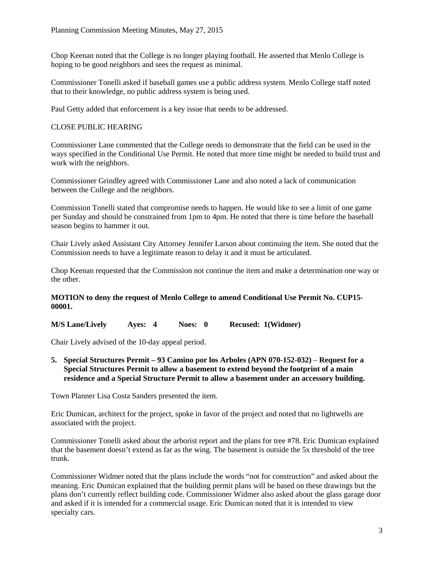Chop Keenan noted that the College is no longer playing football. He asserted that Menlo College is hoping to be good neighbors and sees the request as minimal.

Commissioner Tonelli asked if baseball games use a public address system. Menlo College staff noted that to their knowledge, no public address system is being used.

Paul Getty added that enforcement is a key issue that needs to be addressed.

# CLOSE PUBLIC HEARING

Commissioner Lane commented that the College needs to demonstrate that the field can be used in the ways specified in the Conditional Use Permit. He noted that more time might be needed to build trust and work with the neighbors.

Commissioner Grindley agreed with Commissioner Lane and also noted a lack of communication between the College and the neighbors.

Commission Tonelli stated that compromise needs to happen. He would like to see a limit of one game per Sunday and should be constrained from 1pm to 4pm. He noted that there is time before the baseball season begins to hammer it out.

Chair Lively asked Assistant City Attorney Jennifer Larson about continuing the item. She noted that the Commission needs to have a legitimate reason to delay it and it must be articulated.

Chop Keenan requested that the Commission not continue the item and make a determination one way or the other.

# **MOTION to deny the request of Menlo College to amend Conditional Use Permit No. CUP15- 00001.**

**M/S Lane/Lively Ayes: 4 Noes: 0 Recused: 1(Widmer)**

Chair Lively advised of the 10-day appeal period.

**5. Special Structures Permit – 93 Camino por los Arboles (APN 070-152-032)** – **Request for a Special Structures Permit to allow a basement to extend beyond the footprint of a main residence and a Special Structure Permit to allow a basement under an accessory building.**

Town Planner Lisa Costa Sanders presented the item.

Eric Dumican, architect for the project, spoke in favor of the project and noted that no lightwells are associated with the project.

Commissioner Tonelli asked about the arborist report and the plans for tree #78. Eric Dumican explained that the basement doesn't extend as far as the wing. The basement is outside the 5x threshold of the tree trunk.

Commissioner Widmer noted that the plans include the words "not for construction" and asked about the meaning. Eric Dumican explained that the building permit plans will be based on these drawings but the plans don't currently reflect building code. Commissioner Widmer also asked about the glass garage door and asked if it is intended for a commercial usage. Eric Dumican noted that it is intended to view specialty cars.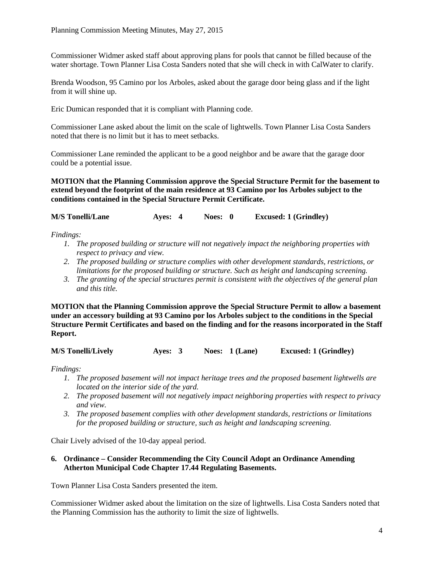Commissioner Widmer asked staff about approving plans for pools that cannot be filled because of the water shortage. Town Planner Lisa Costa Sanders noted that she will check in with CalWater to clarify.

Brenda Woodson, 95 Camino por los Arboles, asked about the garage door being glass and if the light from it will shine up.

Eric Dumican responded that it is compliant with Planning code.

Commissioner Lane asked about the limit on the scale of lightwells. Town Planner Lisa Costa Sanders noted that there is no limit but it has to meet setbacks.

Commissioner Lane reminded the applicant to be a good neighbor and be aware that the garage door could be a potential issue.

**MOTION that the Planning Commission approve the Special Structure Permit for the basement to extend beyond the footprint of the main residence at 93 Camino por los Arboles subject to the conditions contained in the Special Structure Permit Certificate.**

**M/S Tonelli/Lane Ayes: 4 Noes: 0 Excused: 1 (Grindley)**

*Findings:*

- *1. The proposed building or structure will not negatively impact the neighboring properties with respect to privacy and view.*
- *2. The proposed building or structure complies with other development standards, restrictions, or limitations for the proposed building or structure. Such as height and landscaping screening.*
- *3. The granting of the special structures permit is consistent with the objectives of the general plan and this title.*

**MOTION that the Planning Commission approve the Special Structure Permit to allow a basement under an accessory building at 93 Camino por los Arboles subject to the conditions in the Special Structure Permit Certificates and based on the finding and for the reasons incorporated in the Staff Report.**

**M/S Tonelli/Lively Ayes: 3 Noes: 1 (Lane) Excused: 1 (Grindley)**

*Findings:*

- *1. The proposed basement will not impact heritage trees and the proposed basement lightwells are located on the interior side of the yard.*
- *2. The proposed basement will not negatively impact neighboring properties with respect to privacy and view.*
- *3. The proposed basement complies with other development standards, restrictions or limitations for the proposed building or structure, such as height and landscaping screening.*

Chair Lively advised of the 10-day appeal period.

# **6. Ordinance – Consider Recommending the City Council Adopt an Ordinance Amending Atherton Municipal Code Chapter 17.44 Regulating Basements.**

Town Planner Lisa Costa Sanders presented the item.

Commissioner Widmer asked about the limitation on the size of lightwells. Lisa Costa Sanders noted that the Planning Commission has the authority to limit the size of lightwells.